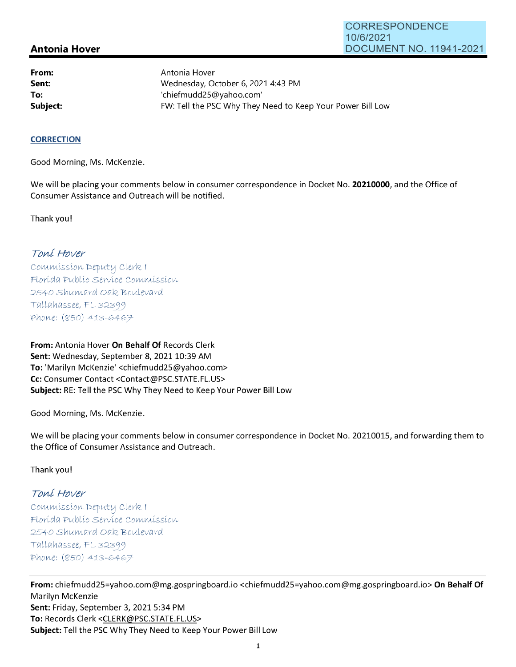## **Antonia Hover**

**From: Sent: To:** 

Antonia Hover Wednesday, October 6, 2021 4:43 PM 'chiefmudd25@yahoo.com' **Subject: EXALG:** FW: Tell the PSC Why They Need to Keep Your Power Bill Low

## **CORRECTION**

Good Morning, Ms. McKenzie.

We will be placing your comments below in consumer correspondence in Docket No. **20210000,** and the Office of Consumer Assistance and Outreach will be notified.

Thank you!

## Toní Hover

Commission Deputy Clerk 1 Florída Publíc Service Commission 2540 Shumard Oak Boulevard  $Tallahasse, FL 32399$ Phone: (850) 413-6467

**From:** Antonia Hover **On Behalf Of** Records Clerk Sent: Wednesday, September 8, 2021 10:39 AM **To:** 'Marilyn McKenzie' <chiefmudd25@yahoo.com> **Cc:** Consumer Contact <Contact@PSC.STATE.FL.US> **Subject:** RE: Tell the PSC Why They Need to Keep Your Power Bill Low

Good Morning, Ms. McKenzie.

We will be placing your comments below in consumer correspondence in Docket No. 20210015, and forwarding them to the Office of Consumer Assistance and Outreach.

Thank you!

## Toní Hover

 $Commonission$  Deputy Clerk I Florída Publíc Servíce Commission 2540 Shumard Oak Boulevard  $Tallahasse, FL 32399$ Phone: (850) 413-6467

**From:** chiefmudd25=yahoo.com@mg.gospringboard.io <chiefmudd25=yahoo.com@mg.gospringboard.io> **On Behalf Of**  Marilyn McKenzie **Sent:** Friday, September 3, 2021 5:34 PM **To:** Records Clerk <CLERK@PSC.STATE.FL.US> **Subject:** Tell the PSC Why They Need to Keep Your Power Bill Low